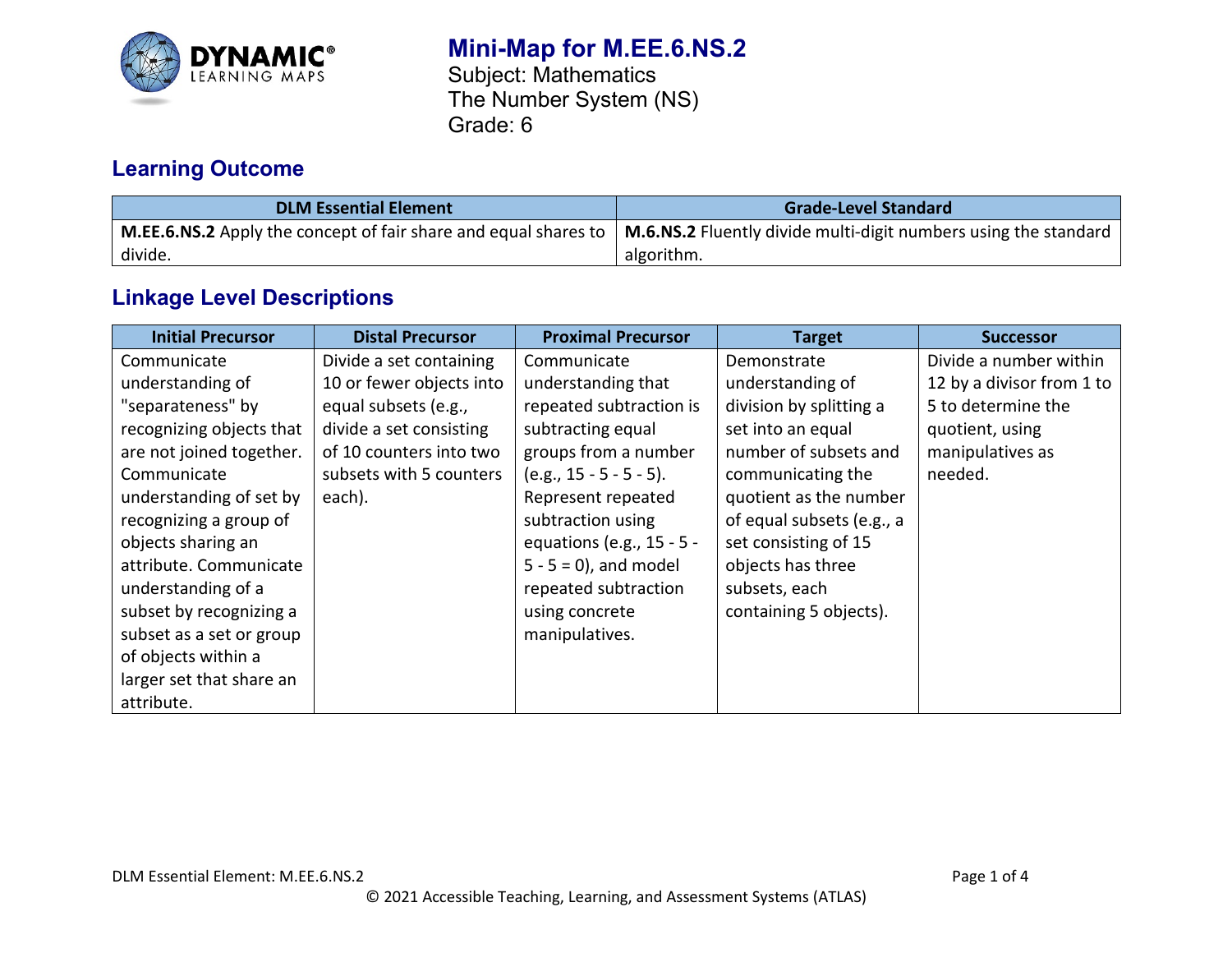

# **Mini-Map for M.EE.6.NS.2**

Subject: Mathematics The Number System (NS) Grade: 6

# **Learning Outcome**

| <b>DLM Essential Element</b> | <b>Grade-Level Standard</b>                                                                                                                          |  |  |
|------------------------------|------------------------------------------------------------------------------------------------------------------------------------------------------|--|--|
|                              | <b>M.EE.6.NS.2</b> Apply the concept of fair share and equal shares to $\mid$ <b>M.6.NS.2</b> Fluently divide multi-digit numbers using the standard |  |  |
| divide.                      | algorithm.                                                                                                                                           |  |  |

## **Linkage Level Descriptions**

| <b>Initial Precursor</b> | <b>Distal Precursor</b>  | <b>Proximal Precursor</b> | <b>Target</b>             | <b>Successor</b>          |
|--------------------------|--------------------------|---------------------------|---------------------------|---------------------------|
| Communicate              | Divide a set containing  | Communicate               | Demonstrate               | Divide a number within    |
| understanding of         | 10 or fewer objects into | understanding that        | understanding of          | 12 by a divisor from 1 to |
| "separateness" by        | equal subsets (e.g.,     | repeated subtraction is   | division by splitting a   | 5 to determine the        |
| recognizing objects that | divide a set consisting  | subtracting equal         | set into an equal         | quotient, using           |
| are not joined together. | of 10 counters into two  | groups from a number      | number of subsets and     | manipulatives as          |
| Communicate              | subsets with 5 counters  | $(e.g., 15 - 5 - 5 - 5).$ | communicating the         | needed.                   |
| understanding of set by  | each).                   | Represent repeated        | quotient as the number    |                           |
| recognizing a group of   |                          | subtraction using         | of equal subsets (e.g., a |                           |
| objects sharing an       |                          | equations (e.g., 15 - 5 - | set consisting of 15      |                           |
| attribute. Communicate   |                          | $5 - 5 = 0$ , and model   | objects has three         |                           |
| understanding of a       |                          | repeated subtraction      | subsets, each             |                           |
| subset by recognizing a  |                          | using concrete            | containing 5 objects).    |                           |
| subset as a set or group |                          | manipulatives.            |                           |                           |
| of objects within a      |                          |                           |                           |                           |
| larger set that share an |                          |                           |                           |                           |
| attribute.               |                          |                           |                           |                           |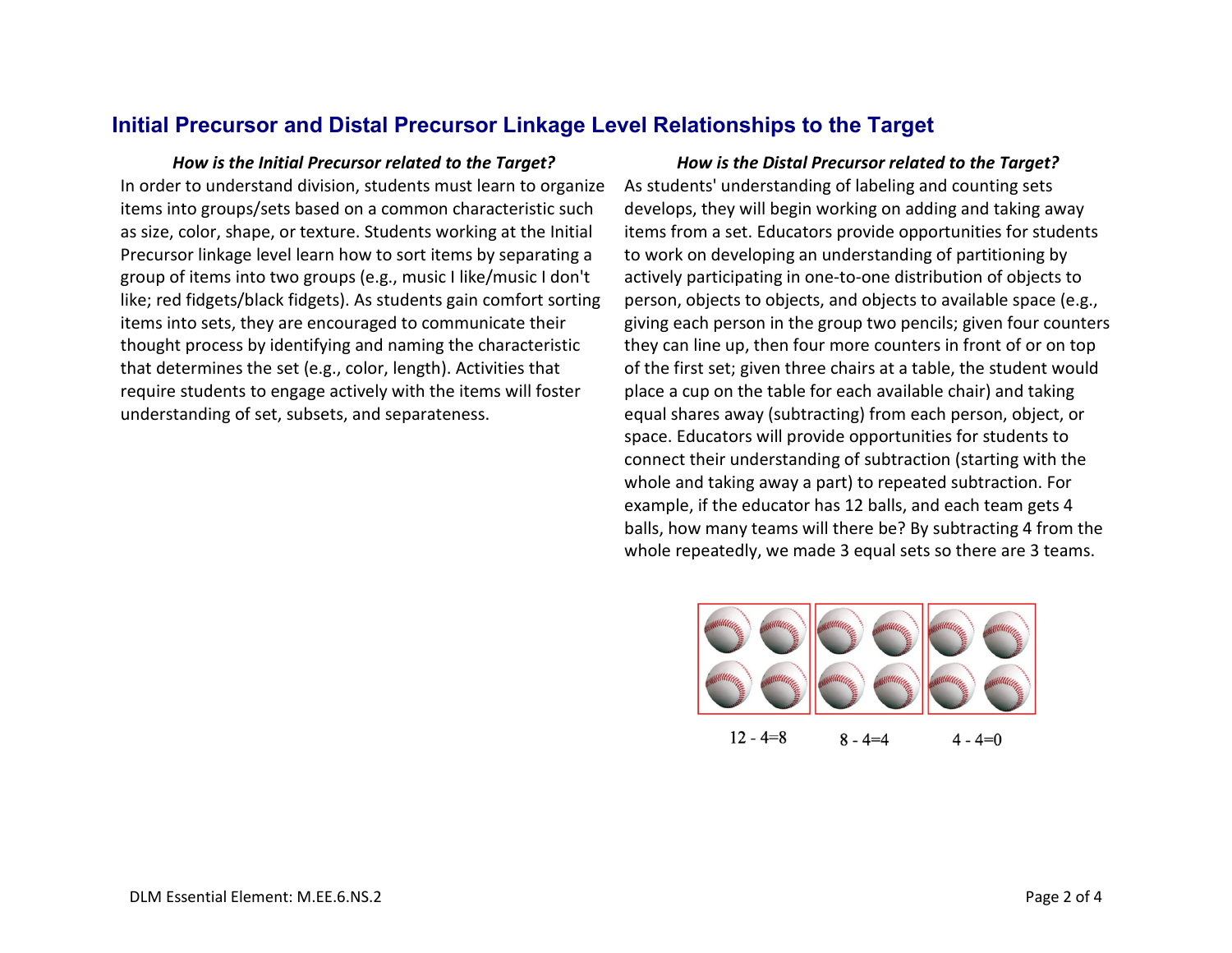### **Initial Precursor and Distal Precursor Linkage Level Relationships to the Target**

In order to understand division, students must learn to organize items into groups/sets based on a common characteristic such as size, color, shape, or texture. Students working at the Initial Precursor linkage level learn how to sort items by separating a group of items into two groups (e.g., music I like/music I don't like; red fidgets/black fidgets). As students gain comfort sorting items into sets, they are encouraged to communicate their thought process by identifying and naming the characteristic that determines the set (e.g., color, length). Activities that require students to engage actively with the items will foster understanding of set, subsets, and separateness.

#### *How is the Initial Precursor related to the Target? How is the Distal Precursor related to the Target?* As students' understanding of labeling and counting sets develops, they will begin working on adding and taking away items from a set. Educators provide opportunities for students to work on developing an understanding of partitioning by actively participating in one-to-one distribution of objects to person, objects to objects, and objects to available space (e.g., giving each person in the group two pencils; given four counters they can line up, then four more counters in front of or on top of the first set; given three chairs at a table, the student would place a cup on the table for each available chair) and taking equal shares away (subtracting) from each person, object, or space. Educators will provide opportunities for students to connect their understanding of subtraction (starting with the whole and taking away a part) to repeated subtraction. For example, if the educator has 12 balls, and each team gets 4 balls, how many teams will there be? By subtracting 4 from the whole repeatedly, we made 3 equal sets so there are 3 teams.

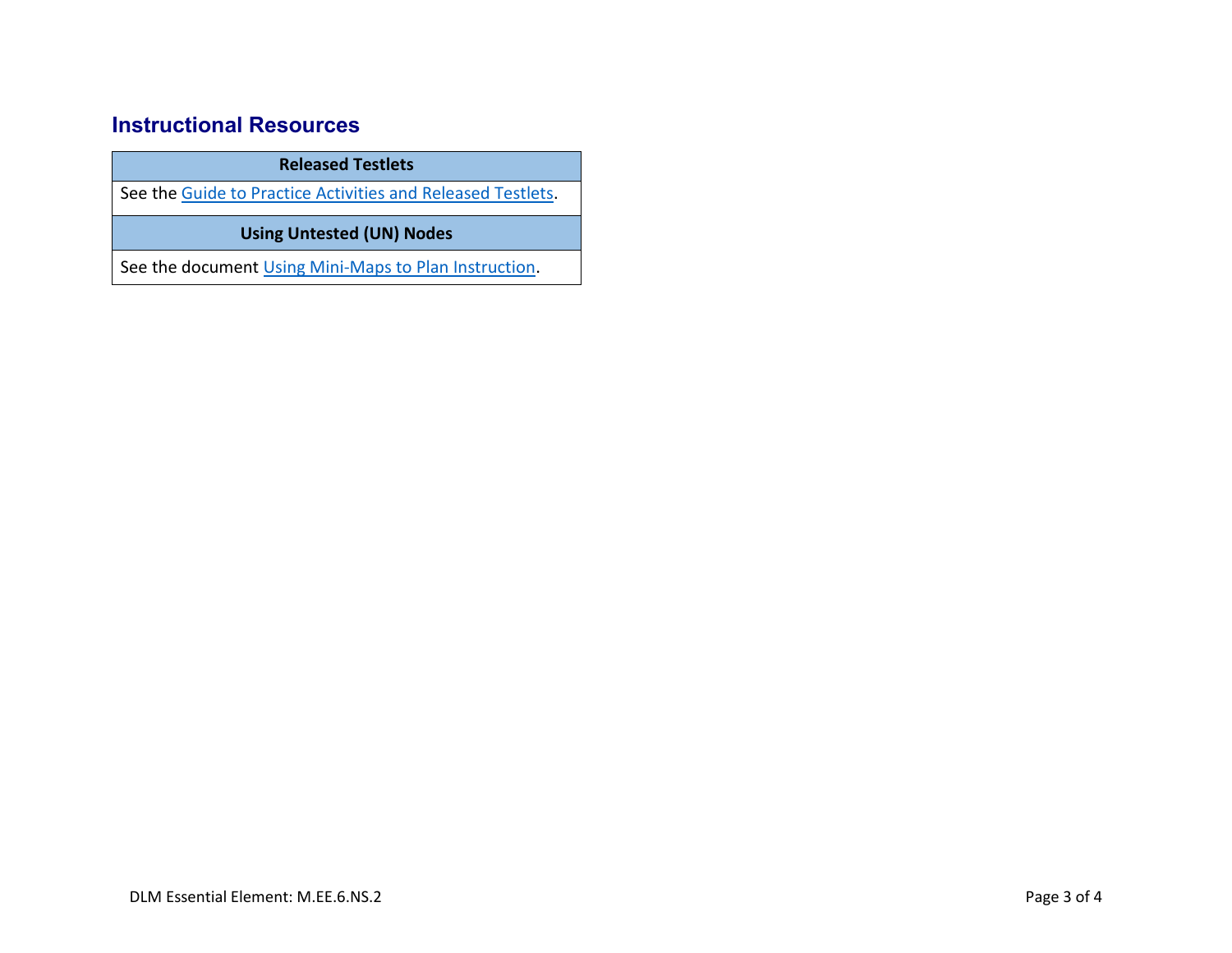## **Instructional Resources**

**Released Testlets**

See the [Guide to Practice Activities and Released Testlets.](https://dynamiclearningmaps.org/sites/default/files/documents/Manuals_Blueprints/Guide_to_Practice_Activities_and_Released_Testlets.pdf)

**Using Untested (UN) Nodes**

See the document [Using Mini-Maps to Plan Instruction.](https://dynamiclearningmaps.org/sites/default/files/documents/Using_Mini_Maps_to_Plan_Instruction.pdf)